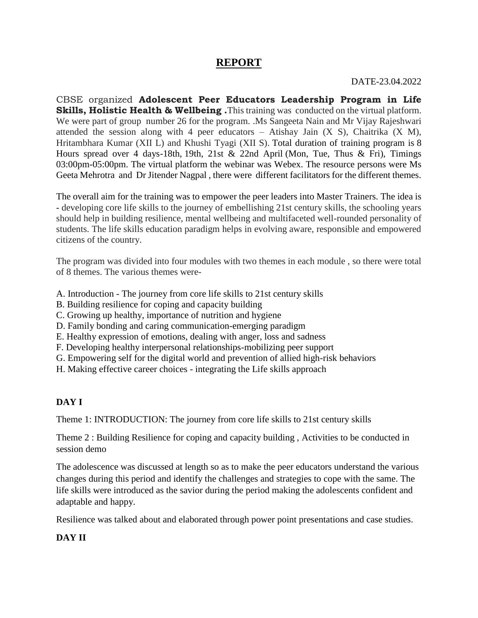## **REPORT**

DATE-23.04.2022

CBSE organized **Adolescent Peer Educators Leadership Program in Life Skills, Holistic Health & Wellbeing .**This training was conducted on the virtual platform. We were part of group number 26 for the program. .Ms Sangeeta Nain and Mr Vijay Rajeshwari attended the session along with 4 peer educators – Atishay Jain (X S), Chaitrika (X M), Hritambhara Kumar (XII L) and Khushi Tyagi (XII S). Total duration of training program is 8 Hours spread over 4 days-18th, 19th, 21st & 22nd April (Mon, Tue, Thus & Fri), Timings 03:00pm-05:00pm. The virtual platform the webinar was Webex. The resource persons were Ms Geeta Mehrotra and Dr Jitender Nagpal , there were different facilitators for the different themes.

The overall aim for the training was to empower the peer leaders into Master Trainers. The idea is - developing core life skills to the journey of embellishing 21st century skills, the schooling years should help in building resilience, mental wellbeing and multifaceted well-rounded personality of students. The life skills education paradigm helps in evolving aware, responsible and empowered citizens of the country.

The program was divided into four modules with two themes in each module , so there were total of 8 themes. The various themes were-

- A. Introduction The journey from core life skills to 21st century skills
- B. Building resilience for coping and capacity building
- C. Growing up healthy, importance of nutrition and hygiene
- D. Family bonding and caring communication-emerging paradigm
- E. Healthy expression of emotions, dealing with anger, loss and sadness
- F. Developing healthy interpersonal relationships-mobilizing peer support
- G. Empowering self for the digital world and prevention of allied high-risk behaviors
- H. Making effective career choices integrating the Life skills approach

## **DAY I**

Theme 1: INTRODUCTION: The journey from core life skills to 21st century skills

Theme 2 : Building Resilience for coping and capacity building , Activities to be conducted in session demo

The adolescence was discussed at length so as to make the peer educators understand the various changes during this period and identify the challenges and strategies to cope with the same. The life skills were introduced as the savior during the period making the adolescents confident and adaptable and happy.

Resilience was talked about and elaborated through power point presentations and case studies.

### **DAY II**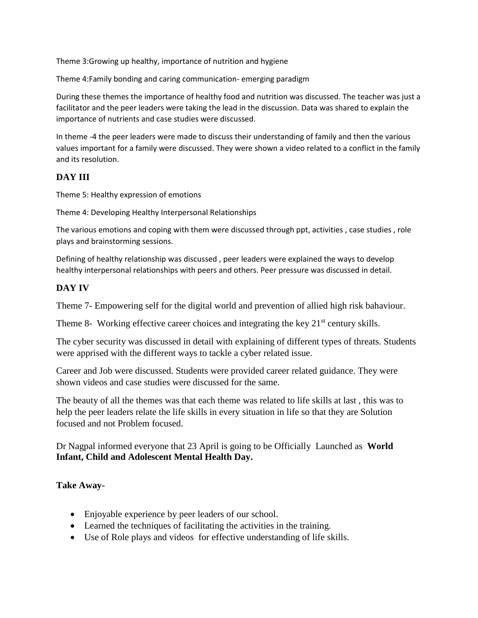Theme 3:Growing up healthy, importance of nutrition and hygiene

Theme 4:Family bonding and caring communication- emerging paradigm

During these themes the importance of healthy food and nutrition was discussed. The teacher was just a facilitator and the peer leaders were taking the lead in the discussion. Data was shared to explain the importance of nutrients and case studies were discussed.

In theme -4 the peer leaders were made to discuss their understanding of family and then the various values important for a family were discussed. They were shown a video related to a conflict in the family and its resolution.

#### **DAY III**

Theme 5: Healthy expression of emotions

Theme 4: Developing Healthy Interpersonal Relationships

The various emotions and coping with them were discussed through ppt, activities , case studies , role plays and brainstorming sessions.

Defining of healthy relationship was discussed , peer leaders were explained the ways to develop healthy interpersonal relationships with peers and others. Peer pressure was discussed in detail.

#### **DAY IV**

Theme 7- Empowering self for the digital world and prevention of allied high risk bahaviour.

Theme 8- Working effective career choices and integrating the key  $21<sup>st</sup>$  century skills.

The cyber security was discussed in detail with explaining of different types of threats. Students were apprised with the different ways to tackle a cyber related issue.

Career and Job were discussed. Students were provided career related guidance. They were shown videos and case studies were discussed for the same.

The beauty of all the themes was that each theme was related to life skills at last , this was to help the peer leaders relate the life skills in every situation in life so that they are Solution focused and not Problem focused.

Dr Nagpal informed everyone that 23 April is going to be Officially Launched as **World Infant, Child and Adolescent Mental Health Day.**

#### **Take Away-**

- Enjoyable experience by peer leaders of our school.
- Learned the techniques of facilitating the activities in the training.
- Use of Role plays and videos for effective understanding of life skills.